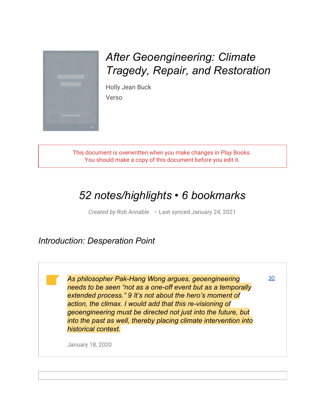

*After Geoengineering: Climate Tragedy, Repair, and Restoration*

Holly Jean Buck Verso

This document is overwritten when you make changes in Play Books. You should make a copy of this document before you edit it.

# *52 notes/highlights • 6 bookmarks*

*Created by Rob Annable* – Last synced January 24, 2021

*Introduction: Desperation Point*

*As philosopher Pak-Hang Wong argues, geoengineering needs to be seen "not as a one-off event but as a temporally extended process." 9 It's not about the hero's moment of action, the climax. I would add that this re-visioning of geoengineering must be directed not just into the future, but into the past as well, thereby placing climate intervention into historical context.*

[30](http://play.google.com/books/reader?printsec=frontcover&output=reader&id=wAnCJQAAAEAJ&source=books-notes-export&pg=GBS.PA30.w.0.0.0.2)

January 18, 2020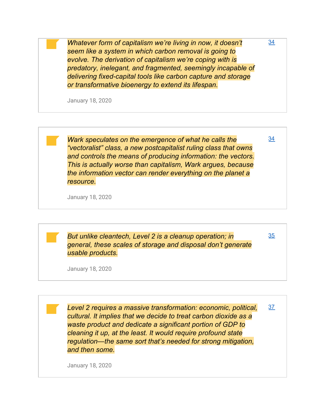*Whatever form of capitalism we're living in now, it doesn't seem like a system in which carbon removal is going to evolve. The derivation of capitalism we're coping with is predatory, inelegant, and fragmented, seemingly incapable of delivering fixed-capital tools like carbon capture and storage or transformative bioenergy to extend its lifespan.*

[34](http://play.google.com/books/reader?printsec=frontcover&output=reader&id=wAnCJQAAAEAJ&source=books-notes-export&pg=GBS.PA34.w.0.0.0.2.0.2)

[34](http://play.google.com/books/reader?printsec=frontcover&output=reader&id=wAnCJQAAAEAJ&source=books-notes-export&pg=GBS.PA34.w.0.0.0.4.0.1)

[35](http://play.google.com/books/reader?printsec=frontcover&output=reader&id=wAnCJQAAAEAJ&source=books-notes-export&pg=GBS.PA35.w.0.0.0.4)

January 18, 2020

*Wark speculates on the emergence of what he calls the "vectoralist" class, a new postcapitalist ruling class that owns and controls the means of producing information: the vectors. This is actually worse than capitalism, Wark argues, because the information vector can render everything on the planet a resource.*

January 18, 2020

*But unlike cleantech, Level 2 is a cleanup operation; in general, these scales of storage and disposal don't generate usable products.*

January 18, 2020

*Level 2 requires a massive transformation: economic, political, cultural. It implies that we decide to treat carbon dioxide as a waste product and dedicate a significant portion of GDP to cleaning it up, at the least. It would require profound state regulation—the same sort that's needed for strong mitigation, and then some.* [37](http://play.google.com/books/reader?printsec=frontcover&output=reader&id=wAnCJQAAAEAJ&source=books-notes-export&pg=GBS.PA37)

January 18, 2020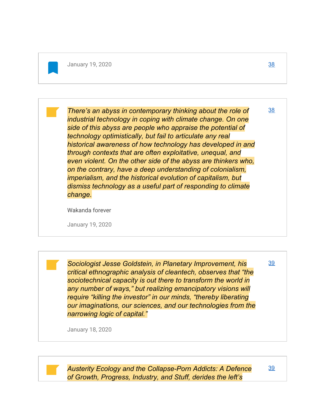*There's an abyss in contemporary thinking about the role of industrial technology in coping with climate change. On one side of this abyss are people who appraise the potential of technology optimistically, but fail to articulate any real historical awareness of how technology has developed in and through contexts that are often exploitative, unequal, and even violent. On the other side of the abyss are thinkers who, on the contrary, have a deep understanding of colonialism, imperialism, and the historical evolution of capitalism, but dismiss technology as a useful part of responding to climate change.* [38](http://play.google.com/books/reader?printsec=frontcover&output=reader&id=wAnCJQAAAEAJ&source=books-notes-export&pg=GBS.PA38.w.0.0.0.2)

Wakanda forever

January 19, 2020

*Sociologist Jesse Goldstein, in Planetary Improvement, his critical ethnographic analysis of cleantech, observes that "the sociotechnical capacity is out there to transform the world in any number of ways," but realizing emancipatory visions will require "killing the investor" in our minds, "thereby liberating our imaginations, our sciences, and our technologies from the narrowing logic of capital."*

January 18, 2020

*Austerity Ecology and the Collapse-Porn Addicts: A Defence of Growth, Progress, Industry, and Stuff, derides the left's*

[39](http://play.google.com/books/reader?printsec=frontcover&output=reader&id=wAnCJQAAAEAJ&source=books-notes-export&pg=GBS.PA39.w.0.0.0.3)

[39](http://play.google.com/books/reader?printsec=frontcover&output=reader&id=wAnCJQAAAEAJ&source=books-notes-export&pg=GBS.PA39.w.0.0.0.1.0.1)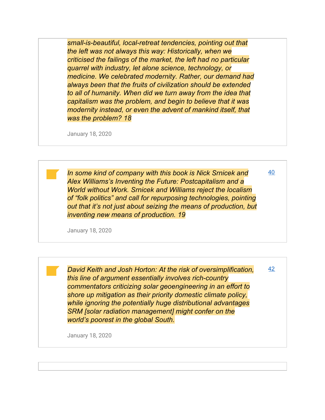*small-is-beautiful, local-retreat tendencies, pointing out that the left was not always this way: Historically, when we criticised the failings of the market, the left had no particular quarrel with industry, let alone science, technology, or medicine. We celebrated modernity. Rather, our demand had always been that the fruits of civilization should be extended to all of humanity. When did we turn away from the idea that capitalism was the problem, and begin to believe that it was modernity instead, or even the advent of mankind itself, that was the problem? 18*

January 18, 2020

*In some kind of company with this book is Nick Srnicek and Alex Williams's Inventing the Future: Postcapitalism and a World without Work. Srnicek and Williams reject the localism of "folk politics" and call for repurposing technologies, pointing out that it's not just about seizing the means of production, but inventing new means of production. 19*

[40](http://play.google.com/books/reader?printsec=frontcover&output=reader&id=wAnCJQAAAEAJ&source=books-notes-export&pg=GBS.PA40.w.0.0.0.2)

January 18, 2020

*David Keith and Josh Horton: At the risk of oversimplification, this line of argument essentially involves rich-country commentators criticizing solar geoengineering in an effort to shore up mitigation as their priority domestic climate policy, while ignoring the potentially huge distributional advantages SRM [solar radiation management] might confer on the world's poorest in the global South.* [42](http://play.google.com/books/reader?printsec=frontcover&output=reader&id=wAnCJQAAAEAJ&source=books-notes-export&pg=GBS.PA42.w.0.0.0.1.0.1)

January 18, 2020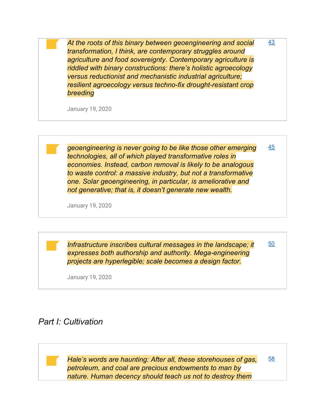*At the roots of this binary between geoengineering and social transformation, I think, are contemporary struggles around agriculture and food sovereignty. Contemporary agriculture is riddled with binary constructions: there's holistic agroecology versus reductionist and mechanistic industrial agriculture; resilient agroecology versus techno-fix drought-resistant crop breeding* [43](http://play.google.com/books/reader?printsec=frontcover&output=reader&id=wAnCJQAAAEAJ&source=books-notes-export&pg=GBS.PA43.w.0.0.0.3)

January 19, 2020

*geoengineering is never going to be like those other emerging technologies, all of which played transformative roles in economies. Instead, carbon removal is likely to be analogous to waste control: a massive industry, but not a transformative one. Solar geoengineering, in particular, is ameliorative and not generative; that is, it doesn't generate new wealth.* [45](http://play.google.com/books/reader?printsec=frontcover&output=reader&id=wAnCJQAAAEAJ&source=books-notes-export&pg=GBS.PA45.w.0.0.0.4)

January 19, 2020

*Infrastructure inscribes cultural messages in the landscape; it expresses both authorship and authority. Mega-engineering projects are hyperlegible; scale becomes a design factor.*

[50](http://play.google.com/books/reader?printsec=frontcover&output=reader&id=wAnCJQAAAEAJ&source=books-notes-export&pg=GBS.PA50.w.0.0.0.1.0.1)

[58](http://play.google.com/books/reader?printsec=frontcover&output=reader&id=wAnCJQAAAEAJ&source=books-notes-export&pg=GBS.PA58.w.0.0.0.4)

January 19, 2020

#### *Part I: Cultivation*

*Hale's words are haunting: After all, these storehouses of gas, petroleum, and coal are precious endowments to man by nature. Human decency should teach us not to destroy them*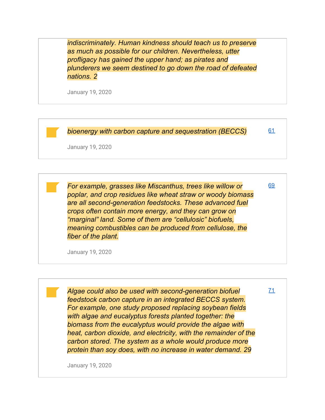*indiscriminately. Human kindness should teach us to preserve as much as possible for our children. Nevertheless, utter profligacy has gained the upper hand; as pirates and plunderers we seem destined to go down the road of defeated nations. 2*

January 19, 2020

*bioenergy with carbon capture and sequestration (BECCS)* [61](http://play.google.com/books/reader?printsec=frontcover&output=reader&id=wAnCJQAAAEAJ&source=books-notes-export&pg=GBS.PA61.w.0.0.0.1)

January 19, 2020

*For example, grasses like Miscanthus, trees like willow or poplar, and crop residues like wheat straw or woody biomass are all second-generation feedstocks. These advanced fuel crops often contain more energy, and they can grow on "marginal" land. Some of them are "cellulosic" biofuels, meaning combustibles can be produced from cellulose, the fiber of the plant.*

[69](http://play.google.com/books/reader?printsec=frontcover&output=reader&id=wAnCJQAAAEAJ&source=books-notes-export&pg=GBS.PA69.w.0.0.0.3)

[71](http://play.google.com/books/reader?printsec=frontcover&output=reader&id=wAnCJQAAAEAJ&source=books-notes-export&pg=GBS.PA71.w.0.0.0.2)

January 19, 2020

*Algae could also be used with second-generation biofuel feedstock carbon capture in an integrated BECCS system. For example, one study proposed replacing soybean fields with algae and eucalyptus forests planted together: the biomass from the eucalyptus would provide the algae with heat, carbon dioxide, and electricity, with the remainder of the carbon stored. The system as a whole would produce more protein than soy does, with no increase in water demand. 29*

January 19, 2020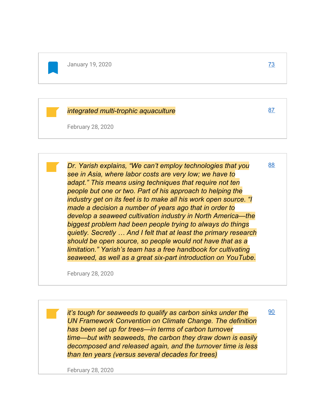#### *integrated multi-trophic aquaculture*

February 28, 2020

*Dr. Yarish explains, "We can't employ technologies that you see in Asia, where labor costs are very low; we have to adapt." This means using techniques that require not ten people but one or two. Part of his approach to helping the industry get on its feet is to make all his work open source. "I made a decision a number of years ago that in order to develop a seaweed cultivation industry in North America—the biggest problem had been people trying to always do things quietly. Secretly … And I felt that at least the primary research should be open source, so people would not have that as a limitation." Yarish's team has a free handbook for cultivating seaweed, as well as a great six-part introduction on YouTube.* [88](http://play.google.com/books/reader?printsec=frontcover&output=reader&id=wAnCJQAAAEAJ&source=books-notes-export&pg=GBS.PA88.w.0.0.0.3.0.1)

February 28, 2020

*it's tough for seaweeds to qualify as carbon sinks under the UN Framework Convention on Climate Change. The definition has been set up for trees—in terms of carbon turnover time—but with seaweeds, the carbon they draw down is easily decomposed and released again, and the turnover time is less than ten years (versus several decades for trees)*

February 28, 2020

[87](http://play.google.com/books/reader?printsec=frontcover&output=reader&id=wAnCJQAAAEAJ&source=books-notes-export&pg=GBS.PA87.w.0.0.0.4)

[90](http://play.google.com/books/reader?printsec=frontcover&output=reader&id=wAnCJQAAAEAJ&source=books-notes-export&pg=GBS.PA90.w.0.0.0.2)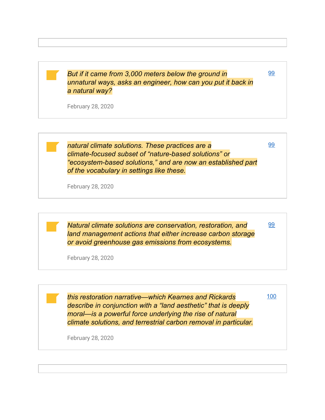*But if it came from 3,000 meters below the ground in unnatural ways, asks an engineer, how can you put it back in a natural way?*

[99](http://play.google.com/books/reader?printsec=frontcover&output=reader&id=wAnCJQAAAEAJ&source=books-notes-export&pg=GBS.PA99.w.0.0.0.1)

[99](http://play.google.com/books/reader?printsec=frontcover&output=reader&id=wAnCJQAAAEAJ&source=books-notes-export&pg=GBS.PA99.w.0.0.0.1)

[99](http://play.google.com/books/reader?printsec=frontcover&output=reader&id=wAnCJQAAAEAJ&source=books-notes-export&pg=GBS.PA99.w.0.0.0.2)

[100](http://play.google.com/books/reader?printsec=frontcover&output=reader&id=wAnCJQAAAEAJ&source=books-notes-export&pg=GBS.PA100.w.0.0.0.2)

February 28, 2020

*natural climate solutions. These practices are a climate-focused subset of "nature-based solutions" or "ecosystem-based solutions," and are now an established part of the vocabulary in settings like these.*

February 28, 2020

*Natural climate solutions are conservation, restoration, and land management actions that either increase carbon storage or avoid greenhouse gas emissions from ecosystems.*

February 28, 2020

*this restoration narrative—which Kearnes and Rickards describe in conjunction with a "land aesthetic" that is deeply moral—is a powerful force underlying the rise of natural climate solutions, and terrestrial carbon removal in particular.*

February 28, 2020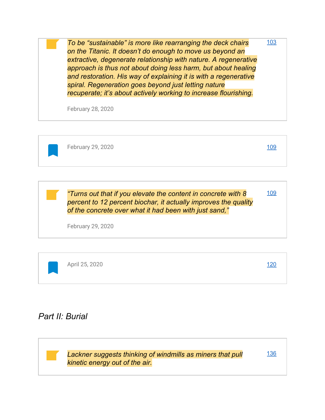*To be "sustainable" is more like rearranging the deck chairs on the Titanic. It doesn't do enough to move us beyond an extractive, degenerate relationship with nature. A regenerative approach is thus not about doing less harm, but about healing and restoration. His way of explaining it is with a regenerative spiral. Regeneration goes beyond just letting nature recuperate; it's about actively working to increase flourishing.* [103](http://play.google.com/books/reader?printsec=frontcover&output=reader&id=wAnCJQAAAEAJ&source=books-notes-export&pg=GBS.PA103.w.0.0.0.1.0.1)

February 28, 2020



February 29, 2020 [109](http://play.google.com/books/reader?printsec=frontcover&output=reader&id=wAnCJQAAAEAJ&source=books-notes-export&pg=GBS.PA109.w.0.0.0.0.1)

[109](http://play.google.com/books/reader?printsec=frontcover&output=reader&id=wAnCJQAAAEAJ&source=books-notes-export&pg=GBS.PA109.w.0.0.0.4)

*"Turns out that if you elevate the content in concrete with 8 percent to 12 percent biochar, it actually improves the quality of the concrete over what it had been with just sand,"*

February 29, 2020

| April 25, 2020 |  | <u>120</u> |
|----------------|--|------------|
|                |  |            |

# *Part II: Burial*

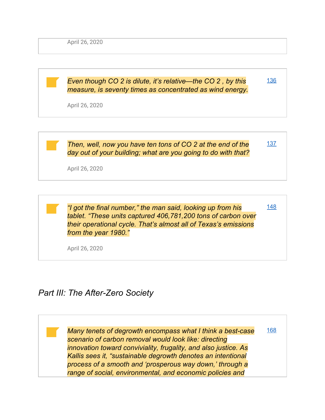April 26, 2020

*Even though CO 2 is dilute, it's relative—the CO 2 , by this measure, is seventy times as concentrated as wind energy.* April 26, 2020 [136](http://play.google.com/books/reader?printsec=frontcover&output=reader&id=wAnCJQAAAEAJ&source=books-notes-export&pg=GBS.PA136.w.0.0.0.2)



*"I got the final number," the man said, looking up from his tablet. "These units captured 406,781,200 tons of carbon over their operational cycle. That's almost all of Texas's emissions from the year 1980."*

[148](http://play.google.com/books/reader?printsec=frontcover&output=reader&id=wAnCJQAAAEAJ&source=books-notes-export&pg=GBS.PA148.w.0.0.0.1)

April 26, 2020

# *Part III: The After-Zero Society*

*Many tenets of degrowth encompass what I think a best-case scenario of carbon removal would look like: directing innovation toward conviviality, frugality, and also justice. As Kallis sees it, "sustainable degrowth denotes an intentional process of a smooth and 'prosperous way down,' through a range of social, environmental, and economic policies and* [168](http://play.google.com/books/reader?printsec=frontcover&output=reader&id=wAnCJQAAAEAJ&source=books-notes-export&pg=GBS.PA168)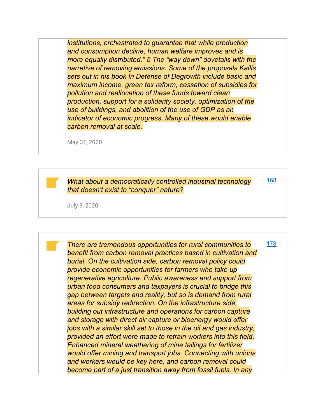*institutions, orchestrated to guarantee that while production and consumption decline, human welfare improves and is more equally distributed." 5 The "way down" dovetails with the narrative of removing emissions. Some of the proposals Kallis sets out in his book In Defense of Degrowth include basic and maximum income, green tax reform, cessation of subsidies for pollution and reallocation of these funds toward clean production, support for a solidarity society, optimization of the use of buildings, and abolition of the use of GDP as an indicator of economic progress. Many of these would enable carbon removal at scale.*

May 31, 2020

*What about a democratically controlled industrial technology that doesn't exist to "conquer" nature?*

[168](http://play.google.com/books/reader?printsec=frontcover&output=reader&id=wAnCJQAAAEAJ&source=books-notes-export&pg=GBS.PA168.w.0.0.0.4)

July 3, 2020

*There are tremendous opportunities for rural communities to benefit from carbon removal practices based in cultivation and burial. On the cultivation side, carbon removal policy could provide economic opportunities for farmers who take up regenerative agriculture. Public awareness and support from urban food consumers and taxpayers is crucial to bridge this gap between targets and reality, but so is demand from rural areas for subsidy redirection. On the infrastructure side, building out infrastructure and operations for carbon capture and storage with direct air capture or bioenergy would offer jobs with a similar skill set to those in the oil and gas industry, provided an effort were made to retrain workers into this field. Enhanced mineral weathering of mine tailings for fertilizer would offer mining and transport jobs. Connecting with unions and workers would be key here, and carbon removal could become part of a just transition away from fossil fuels. In any* [178](http://play.google.com/books/reader?printsec=frontcover&output=reader&id=wAnCJQAAAEAJ&source=books-notes-export&pg=GBS.PA178.w.0.0.0.3)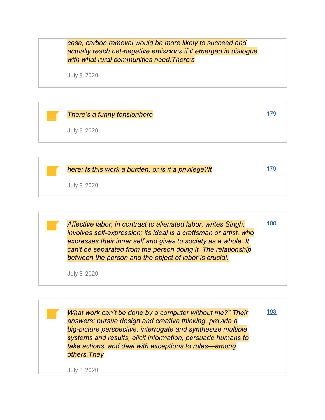*case, carbon removal would be more likely to succeed and actually reach net-negative emissions if it emerged in dialogue with what rural communities need.There's*

July 8, 2020



|              | here: Is this work a burden, or is it a privilege?It |  |
|--------------|------------------------------------------------------|--|
| July 8, 2020 |                                                      |  |

*Affective labor, in contrast to alienated labor, writes Singh, involves self-expression; its ideal is a craftsman or artist, who expresses their inner self and gives to society as a whole. It can't be separated from the person doing it. The relationship between the person and the object of labor is crucial.*

[180](http://play.google.com/books/reader?printsec=frontcover&output=reader&id=wAnCJQAAAEAJ&source=books-notes-export&pg=GBS.PA180.w.0.0.0.1)

July 8, 2020

*What work can't be done by a computer without me?" Their answers: pursue design and creative thinking, provide a big-picture perspective, interrogate and synthesize multiple systems and results, elicit information, persuade humans to take actions, and deal with exceptions to rules—among others.They* [193](http://play.google.com/books/reader?printsec=frontcover&output=reader&id=wAnCJQAAAEAJ&source=books-notes-export&pg=GBS.PA193.w.0.0.0.2)

July 8, 2020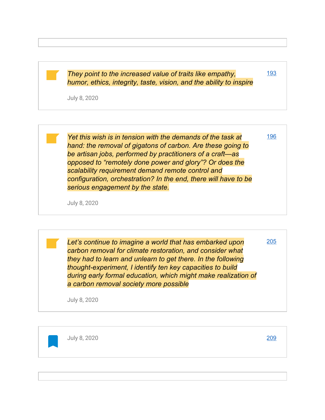*They point to the increased value of traits like empathy, humor, ethics, integrity, taste, vision, and the ability to inspire*

July 8, 2020

*Yet this wish is in tension with the demands of the task at hand: the removal of gigatons of carbon. Are these going to be artisan jobs, performed by practitioners of a craft—as opposed to "remotely done power and glory"? Or does the scalability requirement demand remote control and configuration, orchestration? In the end, there will have to be serious engagement by the state.*

July 8, 2020

*Let's continue to imagine a world that has embarked upon carbon removal for climate restoration, and consider what they had to learn and unlearn to get there. In the following thought-experiment, I identify ten key capacities to build during early formal education, which might make realization of a carbon removal society more possible*

July 8, 2020

July 8, 2020 [209](http://play.google.com/books/reader?printsec=frontcover&output=reader&id=wAnCJQAAAEAJ&source=books-notes-export&pg=GBS.PA209)

[205](http://play.google.com/books/reader?printsec=frontcover&output=reader&id=wAnCJQAAAEAJ&source=books-notes-export&pg=GBS.PA205.w.0.0.0.1)

[193](http://play.google.com/books/reader?printsec=frontcover&output=reader&id=wAnCJQAAAEAJ&source=books-notes-export&pg=GBS.PA193.w.0.0.0.2)

[196](http://play.google.com/books/reader?printsec=frontcover&output=reader&id=wAnCJQAAAEAJ&source=books-notes-export&pg=GBS.PA196.w.0.0.0.3.0.1)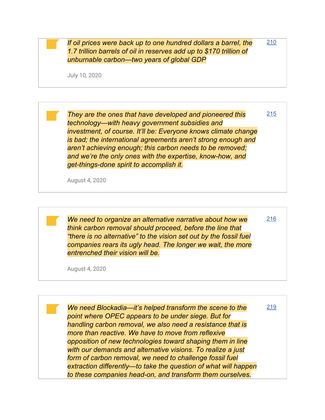*If oil prices were back up to one hundred dollars a barrel, the 1.7 trillion barrels of oil in reserves add up to \$170 trillion of unburnable carbon—two years of global GDP*

[210](http://play.google.com/books/reader?printsec=frontcover&output=reader&id=wAnCJQAAAEAJ&source=books-notes-export&pg=GBS.PA210.w.0.0.0.3.0.1)

[215](http://play.google.com/books/reader?printsec=frontcover&output=reader&id=wAnCJQAAAEAJ&source=books-notes-export&pg=GBS.PA215.w.0.0.0.4)

[216](http://play.google.com/books/reader?printsec=frontcover&output=reader&id=wAnCJQAAAEAJ&source=books-notes-export&pg=GBS.PA216.w.0.0.0.3)

July 10, 2020

*They are the ones that have developed and pioneered this technology—with heavy government subsidies and investment, of course. It'll be: Everyone knows climate change is bad; the international agreements aren't strong enough and aren't achieving enough; this carbon needs to be removed; and we're the only ones with the expertise, know-how, and get-things-done spirit to accomplish it.*

August 4, 2020

*We need to organize an alternative narrative about how we think carbon removal should proceed, before the line that "there is no alternative" to the vision set out by the fossil fuel companies rears its ugly head. The longer we wait, the more entrenched their vision will be.*

August 4, 2020

*We need Blockadia—it's helped transform the scene to the point where OPEC appears to be under siege. But for handling carbon removal, we also need a resistance that is more than reactive. We have to move from reflexive opposition of new technologies toward shaping them in line with our demands and alternative visions. To realize a just form of carbon removal, we need to challenge fossil fuel extraction differently—to take the question of what will happen to these companies head-on, and transform them ourselves.* [219](http://play.google.com/books/reader?printsec=frontcover&output=reader&id=wAnCJQAAAEAJ&source=books-notes-export&pg=GBS.PA219.w.0.0.0.1)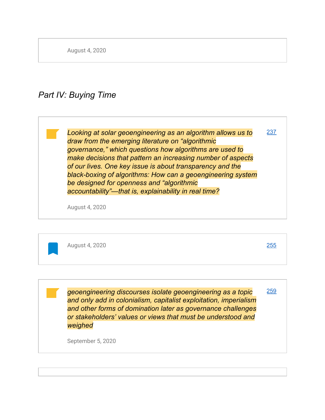August 4, 2020

# *Part IV: Buying Time*

*Looking at solar geoengineering as an algorithm allows us to draw from the emerging literature on "algorithmic governance," which questions how algorithms are used to make decisions that pattern an increasing number of aspects of our lives. One key issue is about transparency and the black-boxing of algorithms: How can a geoengineering system be designed for openness and "algorithmic accountability"—that is, explainability in real time?* [237](http://play.google.com/books/reader?printsec=frontcover&output=reader&id=wAnCJQAAAEAJ&source=books-notes-export&pg=GBS.PA237)

August 4, 2020



*geoengineering discourses isolate geoengineering as a topic and only add in colonialism, capitalist exploitation, imperialism and other forms of domination later as governance challenges or stakeholders' values or views that must be understood and weighed* [259](http://play.google.com/books/reader?printsec=frontcover&output=reader&id=wAnCJQAAAEAJ&source=books-notes-export&pg=GBS.PA259.w.0.0.0.2)

September 5, 2020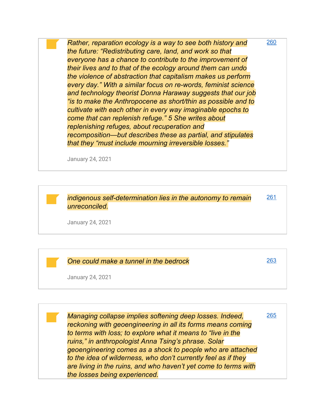*Rather, reparation ecology is a way to see both history and the future: "Redistributing care, land, and work so that everyone has a chance to contribute to the improvement of their lives and to that of the ecology around them can undo the violence of abstraction that capitalism makes us perform every day." With a similar focus on re-words, feminist science and technology theorist Donna Haraway suggests that our job "is to make the Anthropocene as short/thin as possible and to cultivate with each other in every way imaginable epochs to come that can replenish refuge." 5 She writes about replenishing refuges, about recuperation and recomposition—but describes these as partial, and stipulates that they "must include mourning irreversible losses."* [260](http://play.google.com/books/reader?printsec=frontcover&output=reader&id=wAnCJQAAAEAJ&source=books-notes-export&pg=GBS.PA260.w.0.0.0.2.0.1)

January 24, 2021

*indigenous self-determination lies in the autonomy to remain unreconciled.* [261](http://play.google.com/books/reader?printsec=frontcover&output=reader&id=wAnCJQAAAEAJ&source=books-notes-export&pg=GBS.PA261.w.0.0.0.2.0.1)

January 24, 2021

*One could make a tunnel in the bedrock*

[263](http://play.google.com/books/reader?printsec=frontcover&output=reader&id=wAnCJQAAAEAJ&source=books-notes-export&pg=GBS.PA263.w.0.0.0.4)

January 24, 2021

*Managing collapse implies softening deep losses. Indeed, reckoning with geoengineering in all its forms means coming to terms with loss; to explore what it means to "live in the ruins," in anthropologist Anna Tsing's phrase. Solar geoengineering comes as a shock to people who are attached to the idea of wilderness, who don't currently feel as if they are living in the ruins, and who haven't yet come to terms with the losses being experienced.* [265](http://play.google.com/books/reader?printsec=frontcover&output=reader&id=wAnCJQAAAEAJ&source=books-notes-export&pg=GBS.PA265.w.0.0.0.4)